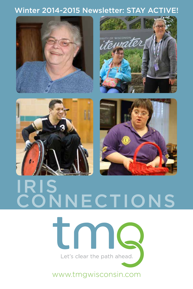#### Winter 2014-2015 Newsletter: STAY ACTIVE!









# IRIS NECTIONS



www.tmgwisconsin.com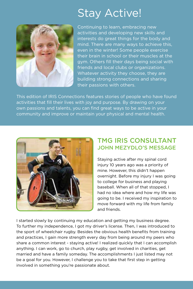### Stay Active!



Continuing to learn, embracing new activities and developing new skills and interests do great things for the body and mind. There are many ways to achieve this, even in the winter! Some people exercise their brain in school or their muscles at the gym. Others fill their days being social with friends and local clubs or organizations. Whatever activity they choose, they are building strong connections and sharing their passions with others.

This edition of IRIS Connections features stories of people who have found activities that fill their lives with joy and purpose. By drawing on your own passions and talents, you can find great ways to be active in your community and improve or maintain your physical and mental health.



#### TMG IRIS CONSULTANT JOHN MEZYDLO'S MESSAGE

Staying active after my spinal cord injury 10 years ago was a priority of mine. However, this didn't happen overnight. Before my injury I was going to college for business and playing baseball. When all of that stopped, I had no idea where and how my life was going to be. I received my inspiration to move forward with my life from family and friends.

I started slowly by continuing my education and getting my business degree. To further my independence, I got my driver's license. Then, I was introduced to the sport of wheelchair rugby. Besides the obvious health benefits from training and practices, I gain more strength every day from being around my peers who share a common interest - staying active! I realized quickly that I can accomplish anything. I can work, go to church, play rugby, get involved in charities, get married and have a family someday. The accomplishments I just listed may not be a goal for you. However, I challenge you to take that first step in getting involved in something you're passionate about.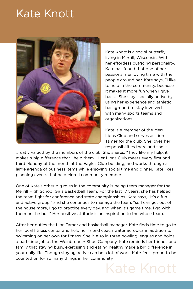### Kate Knott



Kate Knott is a social butterfly living in Merrill, Wisconsin. With her effortless outgoing personality, Kate has found that one of her passions is enjoying time with the people around her. Kate says, "I like to help in the community, because it makes it more fun when I give back." She stays socially active by using her experience and athletic background to stay involved with many sports teams and organizations.

Kate is a member of the Merrill Lions Club and serves as Lion Tamer for the club. She loves her responsibilities there and she is

Kate Knott

greatly valued by the members of the club. She shares, "They like my help, it makes a big difference that I help them." Her Lions Club meets every first and third Monday of the month at the Eagles Club building, and works through a large agenda of business items while enjoying social time and dinner. Kate likes planning events that help Merrill community members.

One of Kate's other big roles in the community is being team manager for the Merrill High School Girls Basketball Team. For the last 17 years, she has helped the team fight for conference and state championships. Kate says, "It's a fun and active group," and she continues to manage the team, "so I can get out of the house more, I go to practice every day, and when it's game time, I go with them on the bus." Her positive attitude is an inspiration to the whole team.

After her duties the Lion Tamer and basketball manager, Kate finds time to go to her local fitness center and help her friend coach water aerobics in addition to swimming on her own for fitness. She is also in three bowling leagues and holds a part-time job at the Weinbrenner Shoe Company. Kate reminds her friends and family that staying busy, exercising and eating healthy make a big difference in your daily life. Though staying active can be a lot of work, Kate feels proud to be counted on for so many things in her community.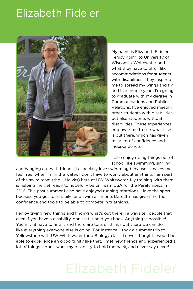### Elizabeth Fideler



My name is Elizabeth Fideler. I enjoy going to University of Wisconsin-Whitewater and what they have to offer, like accommodations for students with disabilities. They inspired me to spread my wings and fly and in a couple years I'm going to graduate with my degree in Communications and Public Relations. I've enjoyed meeting other students with disabilities but also students without disabilities. These experiences empower me to see what else is out there, which has given me a lot of confidence and independence.

I also enjoy doing things out of school like swimming, singing

and hanging out with friends. I especially love swimming because it makes me feel free; when I'm in the water, I don't have to worry about anything. I am part of the swim team (the J-Hawks) here at UW-Whitewater. My training with them is helping me get ready to hopefully be on Team USA for the Paralympics in 2016. This past summer I also have enjoyed running triathlons. I love the sport because you get to run, bike and swim all in one. Dare2tri has given me the confidence and tools to be able to compete in triathlons.

I enjoy trying new things and finding what's out there. I always tell people that even if you have a disability, don't let it hold you back. Anything is possible! You might have to find it and there are tons of things out there we can do, like everything everyone else is doing. For instance, I took a summer trip to Yellowstone with UW-Whitewater for a Biology class. I never thought I would be able to experience an opportunity like that. I met new friends and experienced a lot of things. I don't want my disability to hold me back, and never say never!

## Elizabeth Fideler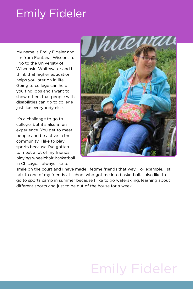### Emily Fideler

My name is Emily Fideler and I'm from Fontana, Wisconsin. I go to the University of Wisconsin-Whitewater and I think that higher education helps you later on in life. Going to college can help you find jobs and I want to show others that people with disabilities can go to college just like everybody else.

It's a challenge to go to college, but it's also a fun experience. You get to meet people and be active in the community. I like to play sports because I've gotten to meet a lot of my friends playing wheelchair basketball in Chicago. I always like to



smile on the court and I have made lifetime friends that way. For example, I still talk to one of my friends at school who got me into basketball. I also like to go to sports camp in summer because I like to go waterskiing, learning about different sports and just to be out of the house for a week!

## Emily Fideler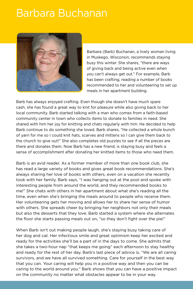### Barbara Buchanan



Barbara (Barb) Buchanan, a lively woman living in Muskego, Wisconsin, recommends staying busy this winter. She shares, "there are ways of giving back and being active even when you can't always get out." For example, Barb has been crafting, reading a number of books recommended to her and volunteering to set up meals in her apartment building.

Barb has always enjoyed crafting. Even though she doesn't have much spare cash, she has found a great way to knit for pleasure while also giving back to her local community. Barb started talking with a man who comes from a faith-based community center in town who collects items to donate to families in need. She shared with him her joy for knitting and chats regularly with him. He decided to help Barb continue to do something she loved. Barb shares, "He collected a whole bunch of yarn for me so I could knit hats, scarves and mittens so I can give them back to the church to give out!" She also completes old puzzles to see if all the pieces are there and donates them. Now Barb has a new friend, is staying busy and feels a sense of accomplishment after donating her knitted items to those who need them.

Barb is an avid reader. As a former member of more than one book club, she has read a large variety of books and gives great book recommendations. She's always sharing her love of books with others, even on a vacation she recently took with her family. Barb says, "I was hanging out at the pool and spoke with interesting people from around the world, and they recommended books to me!" She chats with others in her apartment about what she's reading all the time, even when she's bringing the meals around to people who receive them. Her volunteering gets her moving and allows her to share her sense of humor with others. She spreads cheer by bringing her neighbors not only their meals but also the desserts that they love. Barb started a system where she alternates the floor she starts passing meals out on, "so they don't fight over the pie!"

When Barb isn't out making people laugh, she's staying busy taking care of her dog and cat. Her infectious smile and great optimism keep her excited and ready for the activities she'll be a part of in the days to come. She admits that she takes a two-hour nap "that keeps me going" each afternoon to stay healthy and ready for the rest of her day. Barb's last piece of advice is, "We are all caring survivors, and we have all survived something. Care for yourself in the best way that you can. Your caring will help you in a positive way and then you can be caring to the world around you." Barb shows that you can have a positive impact on the community no matter what obstacles appear to be in your way.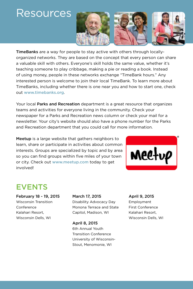### **Resources**



TimeBanks are a way for people to stay active with others through locallyorganized networks. They are based on the concept that every person can share a valuable skill with others. Everyone's skill holds the same value, whether it's teaching someone to play cribbage, making a pie or reading a book. Instead of using money, people in these networks exchange "TimeBank hours." Any interested person is welcome to join their local TimeBank. To learn more about TimeBanks, including whether there is one near you and how to start one, check out www.timebanks.org.

Your local Parks and Recreation department is a great resource that organizes teams and activities for everyone living in the community. Check your newspaper for a Parks and Recreation news column or check your mail for a newsletter. Your city's website should also have a phone number for the Parks and Recreation department that you could call for more information.

Meetup is a large website that gathers neighbors to learn, share or participate in activities about common interests. Groups are specialized by topic and by area so you can find groups within five miles of your town or city. Check out www.meetup.com today to get involved!



#### EVENTS

February 18 - 19, 2015 Wisconsin Transition Conference Kalahari Resort, Wisconsin Dells, WI

March 17, 2015 Disability Advocacy Day Monona Terrace and State Capitol, Madison, WI

April 8, 2015 6th Annual Youth Transition Conference University of Wisconsin-Stout, Menomonie, WI

April 9, 2015 Employment First Conference Kalahari Resort, Wisconsin Dells, WI